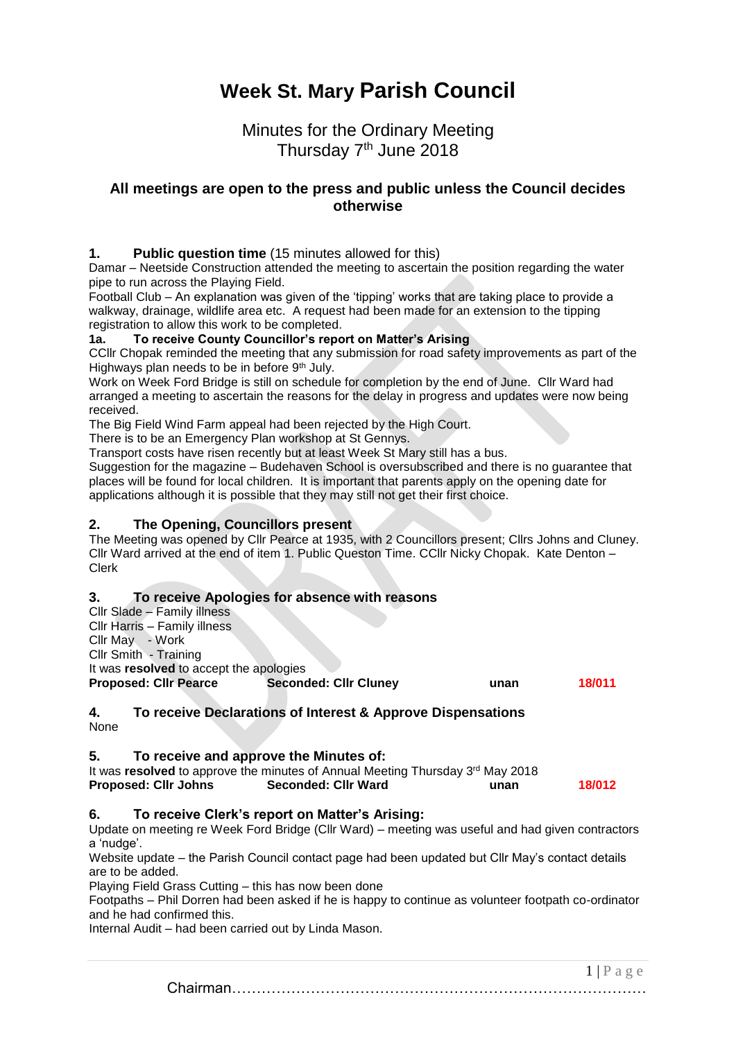# **Week St. Mary Parish Council**

## Minutes for the Ordinary Meeting Thursday 7<sup>th</sup> June 2018

## **All meetings are open to the press and public unless the Council decides otherwise**

#### **1. Public question time** (15 minutes allowed for this)

Damar – Neetside Construction attended the meeting to ascertain the position regarding the water pipe to run across the Playing Field.

Football Club – An explanation was given of the 'tipping' works that are taking place to provide a walkway, drainage, wildlife area etc. A request had been made for an extension to the tipping registration to allow this work to be completed.

#### **1a. To receive County Councillor's report on Matter's Arising**

CCllr Chopak reminded the meeting that any submission for road safety improvements as part of the Highways plan needs to be in before 9<sup>th</sup> July.

Work on Week Ford Bridge is still on schedule for completion by the end of June. Cllr Ward had arranged a meeting to ascertain the reasons for the delay in progress and updates were now being received.

The Big Field Wind Farm appeal had been rejected by the High Court.

There is to be an Emergency Plan workshop at St Gennys.

Transport costs have risen recently but at least Week St Mary still has a bus.

Suggestion for the magazine – Budehaven School is oversubscribed and there is no guarantee that places will be found for local children. It is important that parents apply on the opening date for applications although it is possible that they may still not get their first choice.

#### **2. The Opening, Councillors present**

The Meeting was opened by Cllr Pearce at 1935, with 2 Councillors present; Cllrs Johns and Cluney. Cllr Ward arrived at the end of item 1. Public Queston Time. CCllr Nicky Chopak. Kate Denton – Clerk

#### **3. To receive Apologies for absence with reasons**

| Cllr Slade - Family illness             |                              |      |        |
|-----------------------------------------|------------------------------|------|--------|
| Cllr Harris - Family illness            |                              |      |        |
| Cllr May - Work                         |                              |      |        |
| Cllr Smith - Training                   |                              |      |        |
| It was resolved to accept the apologies |                              |      |        |
| <b>Proposed: Cllr Pearce</b>            | <b>Seconded: Cllr Cluney</b> | unan | 18/011 |
|                                         |                              |      |        |
|                                         |                              |      |        |

#### **4. To receive Declarations of Interest & Approve Dispensations** None

#### **5. To receive and approve the Minutes of:**

| It was resolved to approve the minutes of Annual Meeting Thursday 3 <sup>rd</sup> May 2018 |                     |      |        |
|--------------------------------------------------------------------------------------------|---------------------|------|--------|
| <b>Proposed: Cllr Johns</b>                                                                | Seconded: Cllr Ward | unan | 18/012 |

#### **6. To receive Clerk's report on Matter's Arising:**

Update on meeting re Week Ford Bridge (Cllr Ward) – meeting was useful and had given contractors a 'nudge'.

Website update – the Parish Council contact page had been updated but Cllr May's contact details are to be added.

Playing Field Grass Cutting – this has now been done

Footpaths – Phil Dorren had been asked if he is happy to continue as volunteer footpath co-ordinator and he had confirmed this.

Internal Audit – had been carried out by Linda Mason.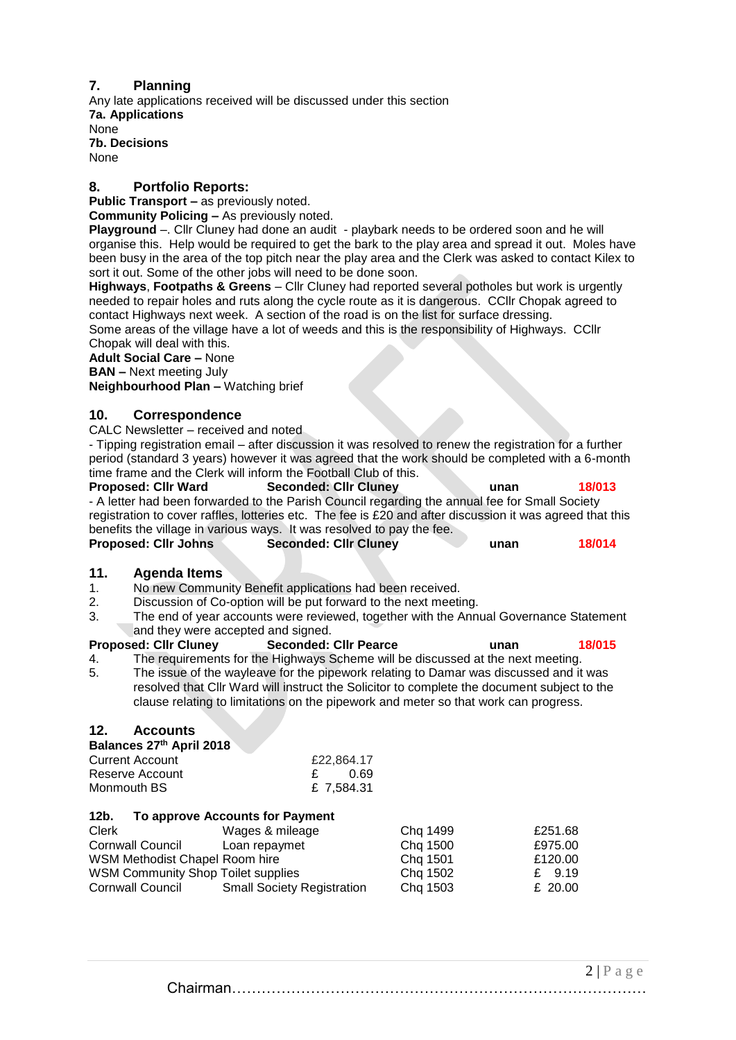#### **7. Planning**

Any late applications received will be discussed under this section **7a. Applications** None **7b. Decisions** None

#### **8. Portfolio Reports:**

**Public Transport –** as previously noted.

**Community Policing –** As previously noted.

**Playground** –. Cllr Cluney had done an audit - playbark needs to be ordered soon and he will organise this. Help would be required to get the bark to the play area and spread it out. Moles have been busy in the area of the top pitch near the play area and the Clerk was asked to contact Kilex to sort it out. Some of the other jobs will need to be done soon.

**Highways**, **Footpaths & Greens** – Cllr Cluney had reported several potholes but work is urgently needed to repair holes and ruts along the cycle route as it is dangerous. CCllr Chopak agreed to contact Highways next week. A section of the road is on the list for surface dressing.

Some areas of the village have a lot of weeds and this is the responsibility of Highways. CCllr Chopak will deal with this.

## **Adult Social Care –** None

**BAN –** Next meeting July

**Neighbourhood Plan –** Watching brief

#### **10. Correspondence**

CALC Newsletter – received and noted

- Tipping registration email – after discussion it was resolved to renew the registration for a further period (standard 3 years) however it was agreed that the work should be completed with a 6-month time frame and the Clerk will inform the Football Club of this.

**Proposed: Cllr Ward Seconded: Cllr Cluney unan 18/013** - A letter had been forwarded to the Parish Council regarding the annual fee for Small Society registration to cover raffles, lotteries etc. The fee is £20 and after discussion it was agreed that this benefits the village in various ways. It was resolved to pay the fee.

| <b>Proposed: Cllr Johns</b> | <b>Seconded: Clir Cluney</b> | unan | 18/014 |
|-----------------------------|------------------------------|------|--------|
|                             |                              |      |        |

#### **11. Agenda Items**

- 1. No new Community Benefit applications had been received.
- 2. Discussion of Co-option will be put forward to the next meeting.
- 3. The end of year accounts were reviewed, together with the Annual Governance Statement and they were accepted and signed.

### **Proposed: Cllr Cluney Seconded: Cllr Pearce unan 18/015**

4. The requirements for the Highways Scheme will be discussed at the next meeting. 5. The issue of the wayleave for the pipework relating to Damar was discussed and it was resolved that Cllr Ward will instruct the Solicitor to complete the document subject to the clause relating to limitations on the pipework and meter so that work can progress.

#### **12. Accounts**

#### **Balances 27th April 2018**

| Current Account | £22,864.17 |
|-----------------|------------|
| Reserve Account | - 0.69     |
| Monmouth BS_    | £ 7,584.31 |

#### **12b. To approve Accounts for Payment**

| Clerk                                     | Wages & mileage                   | Chq 1499 | £251.68   |
|-------------------------------------------|-----------------------------------|----------|-----------|
| Cornwall Council                          | Loan repaymet                     | Chq 1500 | £975.00   |
| WSM Methodist Chapel Room hire            |                                   | Chq 1501 | £120.00   |
| <b>WSM Community Shop Toilet supplies</b> |                                   | Chg 1502 | £ $9.19$  |
| Cornwall Council                          | <b>Small Society Registration</b> | Chq 1503 | £ $20.00$ |